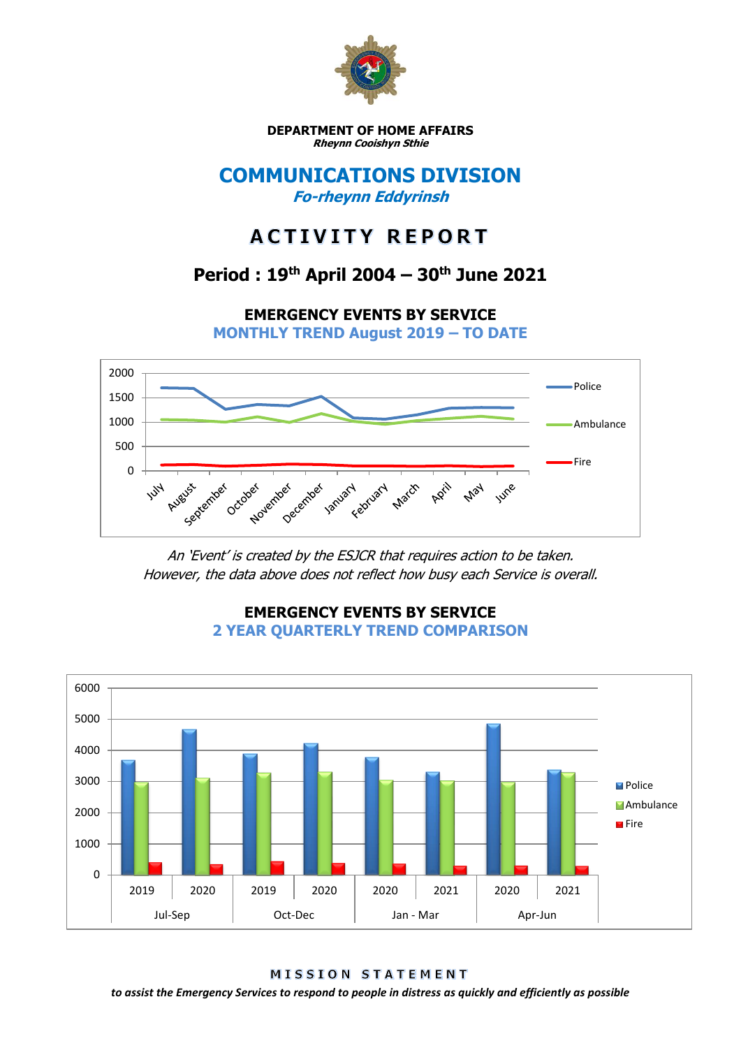

**DEPARTMENT OF HOME AFFAIRS Rheynn Cooishyn Sthie**

## **COMMUNICATIONS DIVISION Fo-rheynn Eddyrinsh**

# **ACTIVITY REPORT**

## **Period : 19th April 2004 – 30th June 2021**

**EMERGENCY EVENTS BY SERVICE**

**MONTHLY TREND August 2019 – TO DATE**



An 'Event' is created by the ESJCR that requires action to be taken. However, the data above does not reflect how busy each Service is overall.



**EMERGENCY EVENTS BY SERVICE 2 YEAR QUARTERLY TREND COMPARISON**

**MISSION STATEMENT** 

*to assist the Emergency Services to respond to people in distress as quickly and efficiently as possible*